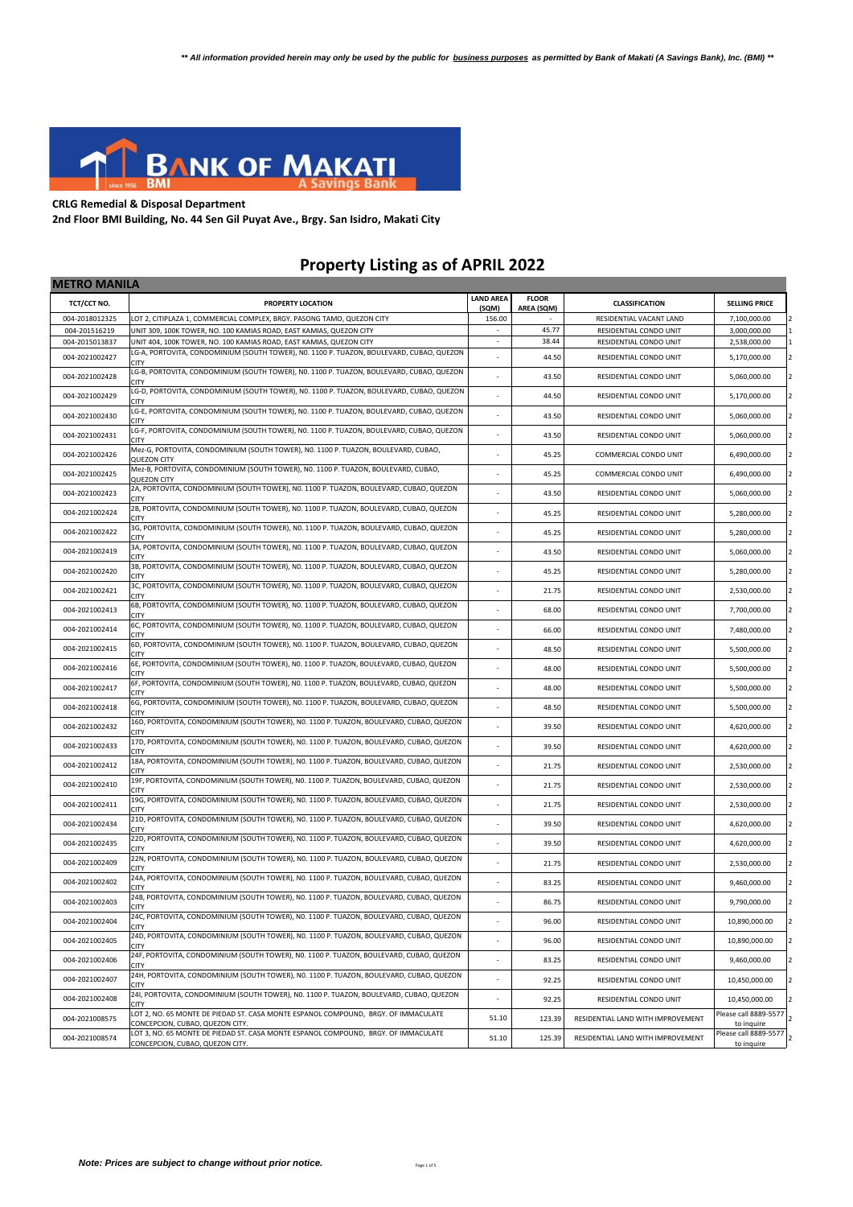

## **CRLG Remedial & Disposal Department**

**2nd Floor BMI Building, No. 44 Sen Gil Puyat Ave., Brgy. San Isidro, Makati City**

## **Property Listing as of APRIL 2022**

| <b>METRO MANILA</b> |                                                                                                                       |                           |                            |                                   |                                     |
|---------------------|-----------------------------------------------------------------------------------------------------------------------|---------------------------|----------------------------|-----------------------------------|-------------------------------------|
| TCT/CCT NO.         | PROPERTY LOCATION                                                                                                     | <b>LAND AREA</b><br>(SQM) | <b>FLOOR</b><br>AREA (SQM) | <b>CLASSIFICATION</b>             | <b>SELLING PRICE</b>                |
| 004-2018012325      | LOT 2, CITIPLAZA 1, COMMERCIAL COMPLEX, BRGY. PASONG TAMO, QUEZON CITY                                                | 156.00                    |                            | RESIDENTIAL VACANT LAND           | 7,100,000.00                        |
| 004-201516219       | UNIT 309, 100K TOWER, NO. 100 KAMIAS ROAD, EAST KAMIAS, QUEZON CITY                                                   |                           | 45.77                      | RESIDENTIAL CONDO UNIT            | 3,000,000.00                        |
| 004-2015013837      | UNIT 404, 100K TOWER, NO. 100 KAMIAS ROAD, EAST KAMIAS, QUEZON CITY                                                   | $\mathcal{L}$             | 38.44                      | RESIDENTIAL CONDO UNIT            | 2,538,000.00                        |
| 004-2021002427      | LG-A, PORTOVITA, CONDOMINIUM (SOUTH TOWER), NO. 1100 P. TUAZON, BOULEVARD, CUBAO, QUEZON<br><b>CITY</b>               |                           | 44.50                      | RESIDENTIAL CONDO UNIT            | 5,170,000.00                        |
| 004-2021002428      | LG-B, PORTOVITA, CONDOMINIUM (SOUTH TOWER), NO. 1100 P. TUAZON, BOULEVARD, CUBAO, QUEZON<br><b>CITY</b>               |                           | 43.50                      | RESIDENTIAL CONDO UNIT            | 5,060,000.00                        |
| 004-2021002429      | LG-D, PORTOVITA, CONDOMINIUM (SOUTH TOWER), NO. 1100 P. TUAZON, BOULEVARD, CUBAO, QUEZON<br><b>CITY</b>               |                           | 44.50                      | RESIDENTIAL CONDO UNIT            | 5,170,000.00                        |
| 004-2021002430      | LG-E, PORTOVITA, CONDOMINIUM (SOUTH TOWER), NO. 1100 P. TUAZON, BOULEVARD, CUBAO, QUEZON<br><b>CITY</b>               |                           | 43.50                      | RESIDENTIAL CONDO UNIT            | 5,060,000.00                        |
| 004-2021002431      | LG-F, PORTOVITA, CONDOMINIUM (SOUTH TOWER), NO. 1100 P. TUAZON, BOULEVARD, CUBAO, QUEZON<br><b>CITY</b>               |                           | 43.50                      | RESIDENTIAL CONDO UNIT            | 5,060,000.00                        |
| 004-2021002426      | Mez-G, PORTOVITA, CONDOMINIUM (SOUTH TOWER), NO. 1100 P. TUAZON, BOULEVARD, CUBAO,<br><b>QUEZON CITY</b>              |                           | 45.25                      | COMMERCIAL CONDO UNIT             | 6,490,000.00                        |
| 004-2021002425      | Mez-B, PORTOVITA, CONDOMINIUM (SOUTH TOWER), NO. 1100 P. TUAZON, BOULEVARD, CUBAO,<br>QUEZON CITY                     |                           | 45.25                      | COMMERCIAL CONDO UNIT             | 6,490,000.00                        |
| 004-2021002423      | 2A, PORTOVITA, CONDOMINIUM (SOUTH TOWER), NO. 1100 P. TUAZON, BOULEVARD, CUBAO, QUEZON<br><b>CITY</b>                 | ÷.                        | 43.50                      | RESIDENTIAL CONDO UNIT            | 5,060,000.00                        |
| 004-2021002424      | 2B, PORTOVITA, CONDOMINIUM (SOUTH TOWER), NO. 1100 P. TUAZON, BOULEVARD, CUBAO, QUEZON<br><b>CITY</b>                 |                           | 45.25                      | RESIDENTIAL CONDO UNIT            | 5,280,000.00                        |
| 004-2021002422      | 3G, PORTOVITA, CONDOMINIUM (SOUTH TOWER), NO. 1100 P. TUAZON, BOULEVARD, CUBAO, QUEZON<br><b>CITY</b>                 |                           | 45.25                      | RESIDENTIAL CONDO UNIT            | 5,280,000.00                        |
| 004-2021002419      | 3A, PORTOVITA, CONDOMINIUM (SOUTH TOWER), NO. 1100 P. TUAZON, BOULEVARD, CUBAO, QUEZON<br><b>CITY</b>                 |                           | 43.50                      | RESIDENTIAL CONDO UNIT            | 5,060,000.00                        |
| 004-2021002420      | 3B, PORTOVITA, CONDOMINIUM (SOUTH TOWER), N0. 1100 P. TUAZON, BOULEVARD, CUBAO, QUEZON<br>CITY                        |                           | 45.25                      | RESIDENTIAL CONDO UNIT            | 5,280,000.00                        |
| 004-2021002421      | 3C, PORTOVITA, CONDOMINIUM (SOUTH TOWER), NO. 1100 P. TUAZON, BOULEVARD, CUBAO, QUEZON<br><b>CITY</b>                 |                           | 21.75                      | RESIDENTIAL CONDO UNIT            | 2,530,000.00                        |
| 004-2021002413      | 6B, PORTOVITA, CONDOMINIUM (SOUTH TOWER), NO. 1100 P. TUAZON, BOULEVARD, CUBAO, QUEZON<br>CITY                        |                           | 68.00                      | RESIDENTIAL CONDO UNIT            | 7,700,000.00                        |
| 004-2021002414      | 6C, PORTOVITA, CONDOMINIUM (SOUTH TOWER), NO. 1100 P. TUAZON, BOULEVARD, CUBAO, QUEZON<br><b>CITY</b>                 |                           | 66.00                      | RESIDENTIAL CONDO UNIT            | 7,480,000.00                        |
| 004-2021002415      | 6D, PORTOVITA, CONDOMINIUM (SOUTH TOWER), NO. 1100 P. TUAZON, BOULEVARD, CUBAO, QUEZON<br>CITY                        | $\sim$                    | 48.50                      | RESIDENTIAL CONDO UNIT            | 5,500,000.00                        |
| 004-2021002416      | 6E, PORTOVITA, CONDOMINIUM (SOUTH TOWER), NO. 1100 P. TUAZON, BOULEVARD, CUBAO, QUEZON<br>CITY                        |                           | 48.00                      | RESIDENTIAL CONDO UNIT            | 5,500,000.00                        |
| 004-2021002417      | 6F, PORTOVITA, CONDOMINIUM (SOUTH TOWER), NO. 1100 P. TUAZON, BOULEVARD, CUBAO, QUEZON<br><b>CITY</b>                 |                           | 48.00                      | RESIDENTIAL CONDO UNIT            | 5,500,000.00                        |
| 004-2021002418      | 6G, PORTOVITA, CONDOMINIUM (SOUTH TOWER), NO. 1100 P. TUAZON, BOULEVARD, CUBAO, QUEZON<br>CITY                        |                           | 48.50                      | RESIDENTIAL CONDO UNIT            | 5,500,000.00                        |
| 004-2021002432      | 16D, PORTOVITA, CONDOMINIUM (SOUTH TOWER), NO. 1100 P. TUAZON, BOULEVARD, CUBAO, QUEZON<br>CITY                       | ٠                         | 39.50                      | RESIDENTIAL CONDO UNIT            | 4,620,000.00                        |
| 004-2021002433      | 17D, PORTOVITA, CONDOMINIUM (SOUTH TOWER), NO. 1100 P. TUAZON, BOULEVARD, CUBAO, QUEZON<br>CITY                       |                           | 39.50                      | RESIDENTIAL CONDO UNIT            | 4,620,000.00                        |
| 004-2021002412      | 18A, PORTOVITA, CONDOMINIUM (SOUTH TOWER), NO. 1100 P. TUAZON, BOULEVARD, CUBAO, QUEZON<br><b>CITY</b>                |                           | 21.75                      | RESIDENTIAL CONDO UNIT            | 2,530,000.00                        |
| 004-2021002410      | 19F, PORTOVITA, CONDOMINIUM (SOUTH TOWER), NO. 1100 P. TUAZON, BOULEVARD, CUBAO, QUEZON<br><b>CITY</b>                | $\sim$                    | 21.75                      | RESIDENTIAL CONDO UNIT            | 2,530,000.00                        |
| 004-2021002411      | 19G, PORTOVITA, CONDOMINIUM (SOUTH TOWER), NO. 1100 P. TUAZON, BOULEVARD, CUBAO, QUEZON<br><b>CITY</b>                |                           | 21.75                      | RESIDENTIAL CONDO UNIT            | 2,530,000.00                        |
| 004-2021002434      | 21D, PORTOVITA, CONDOMINIUM (SOUTH TOWER), NO. 1100 P. TUAZON, BOULEVARD, CUBAO, QUEZON<br><b>CITY</b>                |                           | 39.50                      | RESIDENTIAL CONDO UNIT            | 4,620,000.00                        |
| 004-2021002435      | 22D, PORTOVITA, CONDOMINIUM (SOUTH TOWER), NO. 1100 P. TUAZON, BOULEVARD, CUBAO, QUEZON<br><b>CITY</b>                |                           | 39.50                      | RESIDENTIAL CONDO UNIT            | 4,620,000.00                        |
| 004-2021002409      | 22N, PORTOVITA, CONDOMINIUM (SOUTH TOWER), NO. 1100 P. TUAZON, BOULEVARD, CUBAO, QUEZON<br>CITY                       | ÷                         | 21.75                      | RESIDENTIAL CONDO UNIT            | 2,530,000.00                        |
| 004-2021002402      | 24A, PORTOVITA, CONDOMINIUM (SOUTH TOWER), NO. 1100 P. TUAZON, BOULEVARD, CUBAO, QUEZON<br><b>CITY</b>                |                           | 83.25                      | RESIDENTIAL CONDO UNIT            | 9,460,000.00                        |
| 004-2021002403      | 24B, PORTOVITA, CONDOMINIUM (SOUTH TOWER), N0. 1100 P. TUAZON, BOULEVARD, CUBAO, QUEZON<br><b>CITY</b>                |                           | 86.75                      | RESIDENTIAL CONDO UNIT            | 9,790,000.00                        |
| 004-2021002404      | 24C, PORTOVITA, CONDOMINIUM (SOUTH TOWER), NO. 1100 P. TUAZON, BOULEVARD, CUBAO, QUEZON<br><b>CITY</b>                |                           | 96.00                      | RESIDENTIAL CONDO UNIT            | 10,890,000.00                       |
| 004-2021002405      | 24D, PORTOVITA, CONDOMINIUM (SOUTH TOWER), NO. 1100 P. TUAZON, BOULEVARD, CUBAO, QUEZON<br><b>CITY</b>                |                           | 96.00                      | RESIDENTIAL CONDO UNIT            | 10,890,000.00                       |
| 004-2021002406      | 24F, PORTOVITA, CONDOMINIUM (SOUTH TOWER), NO. 1100 P. TUAZON, BOULEVARD, CUBAO, QUEZON<br><b>CITY</b>                |                           | 83.25                      | RESIDENTIAL CONDO UNIT            | 9,460,000.00                        |
| 004-2021002407      | 24H, PORTOVITA, CONDOMINIUM (SOUTH TOWER), NO. 1100 P. TUAZON, BOULEVARD, CUBAO, QUEZON<br><b>CITY</b>                |                           | 92.25                      | RESIDENTIAL CONDO UNIT            | 10,450,000.00                       |
| 004-2021002408      | 241, PORTOVITA, CONDOMINIUM (SOUTH TOWER), NO. 1100 P. TUAZON, BOULEVARD, CUBAO, QUEZON<br><b>CITY</b>                | ÷,                        | 92.25                      | RESIDENTIAL CONDO UNIT            | 10,450,000.00                       |
| 004-2021008575      | LOT 2, NO. 65 MONTE DE PIEDAD ST. CASA MONTE ESPANOL COMPOUND, BRGY. OF IMMACULATE<br>CONCEPCION, CUBAO, QUEZON CITY. | 51.10                     | 123.39                     | RESIDENTIAL LAND WITH IMPROVEMENT | Please call 8889-5577<br>to inquire |
| 004-2021008574      | LOT 3, NO. 65 MONTE DE PIEDAD ST. CASA MONTE ESPANOL COMPOUND, BRGY. OF IMMACULATE<br>CONCEPCION, CUBAO, QUEZON CITY. | 51.10                     | 125.39                     | RESIDENTIAL LAND WITH IMPROVEMENT | Please call 8889-5577<br>to inquire |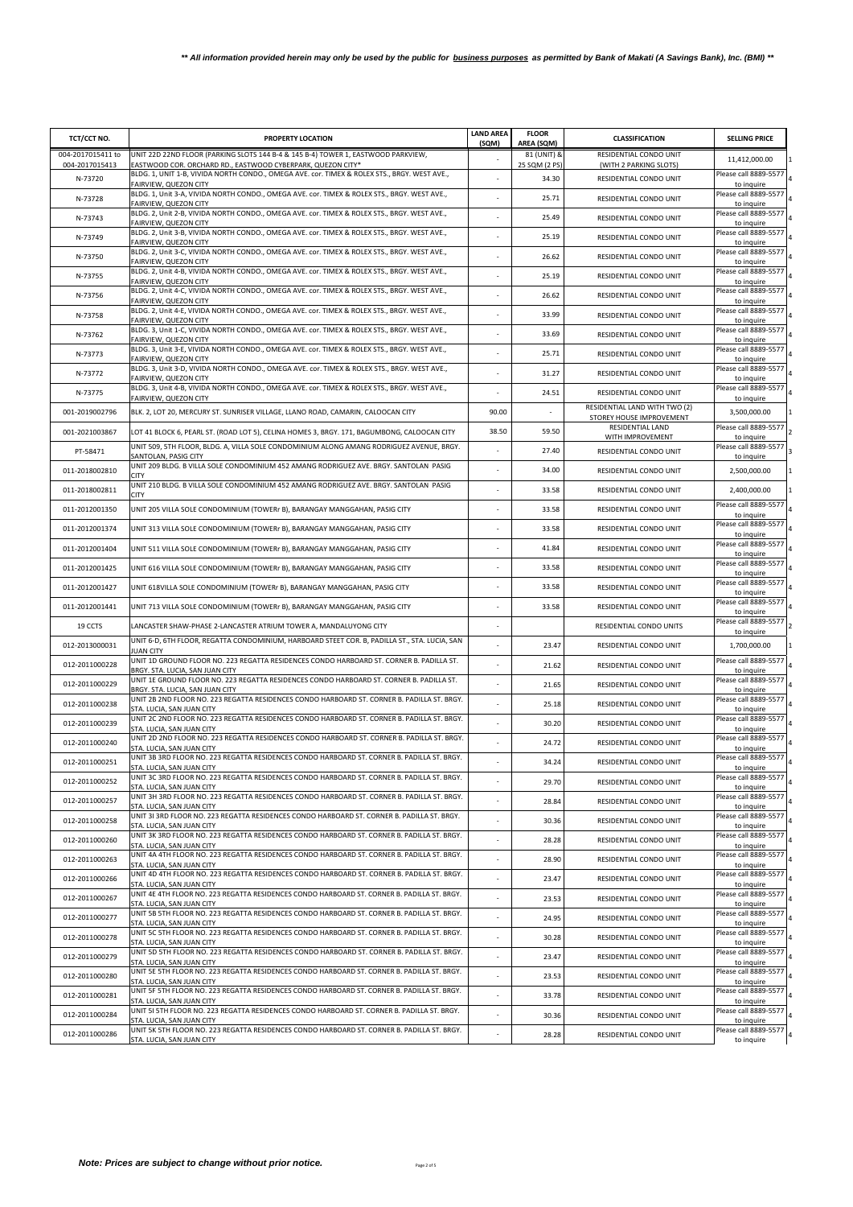| TCT/CCT NO.                         | PROPERTY LOCATION                                                                                                                                | <b>LAND AREA</b><br>(SQM) | <b>FLOOR</b><br>AREA (SQM)   | <b>CLASSIFICATION</b>                                     | <b>SELLING PRICE</b>                              |
|-------------------------------------|--------------------------------------------------------------------------------------------------------------------------------------------------|---------------------------|------------------------------|-----------------------------------------------------------|---------------------------------------------------|
| 004-2017015411 to<br>004-2017015413 | UNIT 22D 22ND FLOOR (PARKING SLOTS 144 B-4 & 145 B-4) TOWER 1, EASTWOOD PARKVIEW,<br>EASTWOOD COR. ORCHARD RD., EASTWOOD CYBERPARK, QUEZON CITY* |                           | 81 (UNIT) &<br>25 SQM (2 PS) | RESIDENTIAL CONDO UNIT<br>(WITH 2 PARKING SLOTS)          | 11,412,000.00                                     |
| N-73720                             | BLDG. 1, UNIT 1-B, VIVIDA NORTH CONDO., OMEGA AVE. cor. TIMEX & ROLEX STS., BRGY. WEST AVE.,                                                     |                           | 34.30                        | RESIDENTIAL CONDO UNIT                                    | Please call 8889-5577                             |
| N-73728                             | FAIRVIEW, QUEZON CITY<br>BLDG. 1, Unit 3-A, VIVIDA NORTH CONDO., OMEGA AVE. cor. TIMEX & ROLEX STS., BRGY. WEST AVE.,<br>FAIRVIEW, QUEZON CITY   |                           | 25.71                        | RESIDENTIAL CONDO UNIT                                    | to inquire<br>Please call 8889-5577               |
| N-73743                             | BLDG. 2, Unit 2-B, VIVIDA NORTH CONDO., OMEGA AVE. cor. TIMEX & ROLEX STS., BRGY. WEST AVE.,<br>FAIRVIEW, QUEZON CITY                            |                           | 25.49                        | RESIDENTIAL CONDO UNIT                                    | to inquire<br>Please call 8889-5577<br>to inquire |
| N-73749                             | BLDG. 2, Unit 3-B, VIVIDA NORTH CONDO., OMEGA AVE. cor. TIMEX & ROLEX STS., BRGY. WEST AVE.,<br>FAIRVIEW, QUEZON CITY                            |                           | 25.19                        | RESIDENTIAL CONDO UNIT                                    | Please call 8889-5577<br>to inquire               |
| N-73750                             | BLDG. 2, Unit 3-C, VIVIDA NORTH CONDO., OMEGA AVE. cor. TIMEX & ROLEX STS., BRGY. WEST AVE.,<br>FAIRVIEW, QUEZON CITY                            |                           | 26.62                        | RESIDENTIAL CONDO UNIT                                    | Please call 8889-5577<br>to inquire               |
| N-73755                             | BLDG. 2, Unit 4-B, VIVIDA NORTH CONDO., OMEGA AVE. cor. TIMEX & ROLEX STS., BRGY. WEST AVE.,<br>FAIRVIEW, QUEZON CITY                            |                           | 25.19                        | RESIDENTIAL CONDO UNIT                                    | Please call 8889-5577<br>to inquire               |
| N-73756                             | BLDG. 2, Unit 4-C, VIVIDA NORTH CONDO., OMEGA AVE. cor. TIMEX & ROLEX STS., BRGY. WEST AVE.,<br>FAIRVIEW, QUEZON CITY                            |                           | 26.62                        | RESIDENTIAL CONDO UNIT                                    | Please call 8889-5577<br>to inquire               |
| N-73758                             | BLDG. 2, Unit 4-E, VIVIDA NORTH CONDO., OMEGA AVE. cor. TIMEX & ROLEX STS., BRGY. WEST AVE.,<br>FAIRVIEW, QUEZON CITY                            |                           | 33.99                        | RESIDENTIAL CONDO UNIT                                    | Please call 8889-5577<br>to inquire               |
| N-73762                             | BLDG. 3, Unit 1-C, VIVIDA NORTH CONDO., OMEGA AVE. cor. TIMEX & ROLEX STS., BRGY. WEST AVE.,<br>FAIRVIEW, QUEZON CITY                            |                           | 33.69                        | RESIDENTIAL CONDO UNIT                                    | Please call 8889-5577<br>to inquire               |
| N-73773                             | BLDG. 3, Unit 3-E, VIVIDA NORTH CONDO., OMEGA AVE. cor. TIMEX & ROLEX STS., BRGY. WEST AVE.,<br>FAIRVIEW, QUEZON CITY                            |                           | 25.71                        | RESIDENTIAL CONDO UNIT                                    | Please call 8889-5577<br>to inquire               |
| N-73772                             | BLDG. 3, Unit 3-D, VIVIDA NORTH CONDO., OMEGA AVE. cor. TIMEX & ROLEX STS., BRGY. WEST AVE.,<br>FAIRVIEW, QUEZON CITY                            |                           | 31.27                        | RESIDENTIAL CONDO UNIT                                    | Please call 8889-5577<br>to inquire               |
| N-73775                             | BLDG. 3, Unit 4-B, VIVIDA NORTH CONDO., OMEGA AVE. cor. TIMEX & ROLEX STS., BRGY. WEST AVE.,<br>FAIRVIEW, QUEZON CITY                            |                           | 24.51                        | RESIDENTIAL CONDO UNIT                                    | Please call 8889-5577<br>to inquire               |
| 001-2019002796                      | BLK. 2, LOT 20, MERCURY ST. SUNRISER VILLAGE, LLANO ROAD, CAMARIN, CALOOCAN CITY                                                                 | 90.00                     |                              | RESIDENTIAL LAND WITH TWO (2)<br>STOREY HOUSE IMPROVEMENT | 3,500,000.00                                      |
| 001-2021003867                      | LOT 41 BLOCK 6, PEARL ST. (ROAD LOT 5), CELINA HOMES 3, BRGY. 171, BAGUMBONG, CALOOCAN CITY                                                      | 38.50                     | 59.50                        | RESIDENTIAL LAND<br>WITH IMPROVEMENT                      | Please call 8889-5577<br>to inquire               |
| PT-58471                            | UNIT 509, 5TH FLOOR, BLDG. A, VILLA SOLE CONDOMINIUM ALONG AMANG RODRIGUEZ AVENUE, BRGY.<br>SANTOLAN, PASIG CITY                                 |                           | 27.40                        | RESIDENTIAL CONDO UNIT                                    | Please call 8889-5577<br>to inquire               |
| 011-2018002810                      | UNIT 209 BLDG. B VILLA SOLE CONDOMINIUM 452 AMANG RODRIGUEZ AVE. BRGY. SANTOLAN PASIG<br><b>CITY</b>                                             |                           | 34.00                        | RESIDENTIAL CONDO UNIT                                    | 2,500,000.00                                      |
| 011-2018002811                      | UNIT 210 BLDG. B VILLA SOLE CONDOMINIUM 452 AMANG RODRIGUEZ AVE. BRGY. SANTOLAN PASIG<br><b>CITY</b>                                             |                           | 33.58                        | RESIDENTIAL CONDO UNIT                                    | 2,400,000.00                                      |
| 011-2012001350                      | UNIT 205 VILLA SOLE CONDOMINIUM (TOWERr B), BARANGAY MANGGAHAN, PASIG CITY                                                                       |                           | 33.58                        | RESIDENTIAL CONDO UNIT                                    | Please call 8889-5577<br>to inquire               |
| 011-2012001374                      | UNIT 313 VILLA SOLE CONDOMINIUM (TOWERr B), BARANGAY MANGGAHAN, PASIG CITY                                                                       |                           | 33.58                        | RESIDENTIAL CONDO UNIT                                    | Please call 8889-5577<br>to inquire               |
| 011-2012001404                      | UNIT 511 VILLA SOLE CONDOMINIUM (TOWERr B), BARANGAY MANGGAHAN, PASIG CITY                                                                       |                           | 41.84                        | RESIDENTIAL CONDO UNIT                                    | Please call 8889-5577<br>to inquire               |
| 011-2012001425                      | UNIT 616 VILLA SOLE CONDOMINIUM (TOWERr B), BARANGAY MANGGAHAN, PASIG CITY                                                                       |                           | 33.58                        | RESIDENTIAL CONDO UNIT                                    | Please call 8889-5577<br>to inquire               |
| 011-2012001427                      | UNIT 618VILLA SOLE CONDOMINIUM (TOWERr B), BARANGAY MANGGAHAN, PASIG CITY                                                                        |                           | 33.58                        | RESIDENTIAL CONDO UNIT                                    | Please call 8889-5577<br>to inquire               |
| 011-2012001441                      | UNIT 713 VILLA SOLE CONDOMINIUM (TOWERr B), BARANGAY MANGGAHAN, PASIG CITY                                                                       |                           | 33.58                        | RESIDENTIAL CONDO UNIT                                    | Please call 8889-5577<br>to inquire               |
| 19 CCTS                             | LANCASTER SHAW-PHASE 2-LANCASTER ATRIUM TOWER A, MANDALUYONG CITY                                                                                |                           |                              | RESIDENTIAL CONDO UNITS                                   | Please call 8889-5577<br>to inquire               |
| 012-2013000031                      | UNIT 6-D, 6TH FLOOR, REGATTA CONDOMINIUM, HARBOARD STEET COR. B, PADILLA ST., STA. LUCIA, SAN<br><b>JUAN CITY</b>                                |                           | 23.47                        | RESIDENTIAL CONDO UNIT                                    | 1,700,000.00                                      |
| 012-2011000228                      | UNIT 1D GROUND FLOOR NO. 223 REGATTA RESIDENCES CONDO HARBOARD ST. CORNER B. PADILLA ST.<br>BRGY. STA. LUCIA, SAN JUAN CITY                      |                           | 21.62                        | RESIDENTIAL CONDO UNIT                                    | Please call 8889-5577<br>to inquire               |
| 012-2011000229                      | UNIT 1E GROUND FLOOR NO. 223 REGATTA RESIDENCES CONDO HARBOARD ST. CORNER B. PADILLA ST.<br>BRGY. STA. LUCIA, SAN JUAN CITY                      |                           | 21.65                        | RESIDENTIAL CONDO UNIT                                    | Please call 8889-5577<br>to inquire               |
| 012-2011000238                      | UNIT 2B 2ND FLOOR NO. 223 REGATTA RESIDENCES CONDO HARBOARD ST. CORNER B. PADILLA ST. BRGY.<br>STA. LUCIA, SAN JUAN CITY                         |                           | 25.18                        | RESIDENTIAL CONDO UNIT                                    | Please call 8889-5577<br>to inquire               |
| 012-2011000239                      | UNIT 2C 2ND FLOOR NO. 223 REGATTA RESIDENCES CONDO HARBOARD ST. CORNER B. PADILLA ST. BRGY.<br>STA. LUCIA, SAN JUAN CITY                         |                           | 30.20                        | RESIDENTIAL CONDO UNIT                                    | Please call 8889-5577<br>to inquire               |
| 012-2011000240                      | UNIT 2D 2ND FLOOR NO. 223 REGATTA RESIDENCES CONDO HARBOARD ST. CORNER B. PADILLA ST. BRGY.<br>STA, LUCIA, SAN JUAN CITY                         |                           | 24.72                        | RESIDENTIAL CONDO UNIT                                    | Please call 8889-5577<br>to inquire               |
| 012-2011000251                      | UNIT 3B 3RD FLOOR NO. 223 REGATTA RESIDENCES CONDO HARBOARD ST. CORNER B. PADILLA ST. BRGY.<br>STA, LUCIA, SAN JUAN CITY                         |                           | 34.24                        | RESIDENTIAL CONDO UNIT                                    | Please call 8889-5577<br>to inquire               |
| 012-2011000252                      | UNIT 3C 3RD FLOOR NO. 223 REGATTA RESIDENCES CONDO HARBOARD ST. CORNER B. PADILLA ST. BRGY.<br>STA. LUCIA, SAN JUAN CITY                         |                           | 29.70                        | RESIDENTIAL CONDO UNIT                                    | Please call 8889-5577<br>to inquire               |
| 012-2011000257                      | UNIT 3H 3RD FLOOR NO. 223 REGATTA RESIDENCES CONDO HARBOARD ST. CORNER B. PADILLA ST. BRGY.<br>STA. LUCIA, SAN JUAN CITY                         |                           | 28.84                        | RESIDENTIAL CONDO UNIT                                    | Please call 8889-5577<br>to inquire               |
| 012-2011000258                      | UNIT 3I 3RD FLOOR NO. 223 REGATTA RESIDENCES CONDO HARBOARD ST. CORNER B. PADILLA ST. BRGY.<br>STA. LUCIA, SAN JUAN CITY                         |                           | 30.36                        | RESIDENTIAL CONDO UNIT                                    | Please call 8889-5577<br>to inquire               |
| 012-2011000260                      | UNIT 3K 3RD FLOOR NO. 223 REGATTA RESIDENCES CONDO HARBOARD ST. CORNER B. PADILLA ST. BRGY.<br>STA. LUCIA, SAN JUAN CITY                         |                           | 28.28                        | RESIDENTIAL CONDO UNIT                                    | Please call 8889-5577<br>to inquire               |
| 012-2011000263                      | UNIT 4A 4TH FLOOR NO. 223 REGATTA RESIDENCES CONDO HARBOARD ST. CORNER B. PADILLA ST. BRGY.<br>STA, LUCIA, SAN JUAN CITY                         |                           | 28.90                        | RESIDENTIAL CONDO UNIT                                    | Please call 8889-5577<br>to inquire               |
| 012-2011000266                      | UNIT 4D 4TH FLOOR NO. 223 REGATTA RESIDENCES CONDO HARBOARD ST. CORNER B. PADILLA ST. BRGY.<br>STA. LUCIA, SAN JUAN CITY                         |                           | 23.47                        | RESIDENTIAL CONDO UNIT                                    | Please call 8889-5577<br>to inquire               |
| 012-2011000267                      | UNIT 4E 4TH FLOOR NO. 223 REGATTA RESIDENCES CONDO HARBOARD ST. CORNER B. PADILLA ST. BRGY.<br>STA, LUCIA, SAN JUAN CITY                         |                           | 23.53                        | RESIDENTIAL CONDO UNIT                                    | Please call 8889-5577<br>to inquire               |
| 012-2011000277                      | UNIT 5B 5TH FLOOR NO. 223 REGATTA RESIDENCES CONDO HARBOARD ST. CORNER B. PADILLA ST. BRGY.<br>STA. LUCIA, SAN JUAN CITY                         |                           | 24.95                        | RESIDENTIAL CONDO UNIT                                    | Please call 8889-5577<br>to inquire               |
| 012-2011000278                      | UNIT 5C 5TH FLOOR NO. 223 REGATTA RESIDENCES CONDO HARBOARD ST. CORNER B. PADILLA ST. BRGY.<br>STA, LUCIA, SAN JUAN CITY                         |                           | 30.28                        | RESIDENTIAL CONDO UNIT                                    | Please call 8889-5577<br>to inquire               |
| 012-2011000279                      | UNIT 5D 5TH FLOOR NO. 223 REGATTA RESIDENCES CONDO HARBOARD ST. CORNER B. PADILLA ST. BRGY.<br>STA. LUCIA, SAN JUAN CITY                         |                           | 23.47                        | RESIDENTIAL CONDO UNIT                                    | Please call 8889-5577<br>to inquire               |
| 012-2011000280                      | UNIT 5E 5TH FLOOR NO. 223 REGATTA RESIDENCES CONDO HARBOARD ST. CORNER B. PADILLA ST. BRGY.<br>STA. LUCIA, SAN JUAN CITY                         |                           | 23.53                        | RESIDENTIAL CONDO UNIT                                    | Please call 8889-5577<br>to inquire               |
| 012-2011000281                      | UNIT 5F 5TH FLOOR NO. 223 REGATTA RESIDENCES CONDO HARBOARD ST. CORNER B. PADILLA ST. BRGY.<br>STA. LUCIA, SAN JUAN CITY                         |                           | 33.78                        | RESIDENTIAL CONDO UNIT                                    | Please call 8889-5577<br>to inquire               |
| 012-2011000284                      | UNIT 5I 5TH FLOOR NO. 223 REGATTA RESIDENCES CONDO HARBOARD ST. CORNER B. PADILLA ST. BRGY.<br>STA. LUCIA, SAN JUAN CITY                         |                           | 30.36                        | RESIDENTIAL CONDO UNIT                                    | Please call 8889-5577<br>to inquire               |
| 012-2011000286                      | UNIT 5K 5TH FLOOR NO. 223 REGATTA RESIDENCES CONDO HARBOARD ST. CORNER B. PADILLA ST. BRGY.<br>STA. LUCIA, SAN JUAN CITY                         |                           | 28.28                        | RESIDENTIAL CONDO UNIT                                    | Please call 8889-5577<br>to inquire               |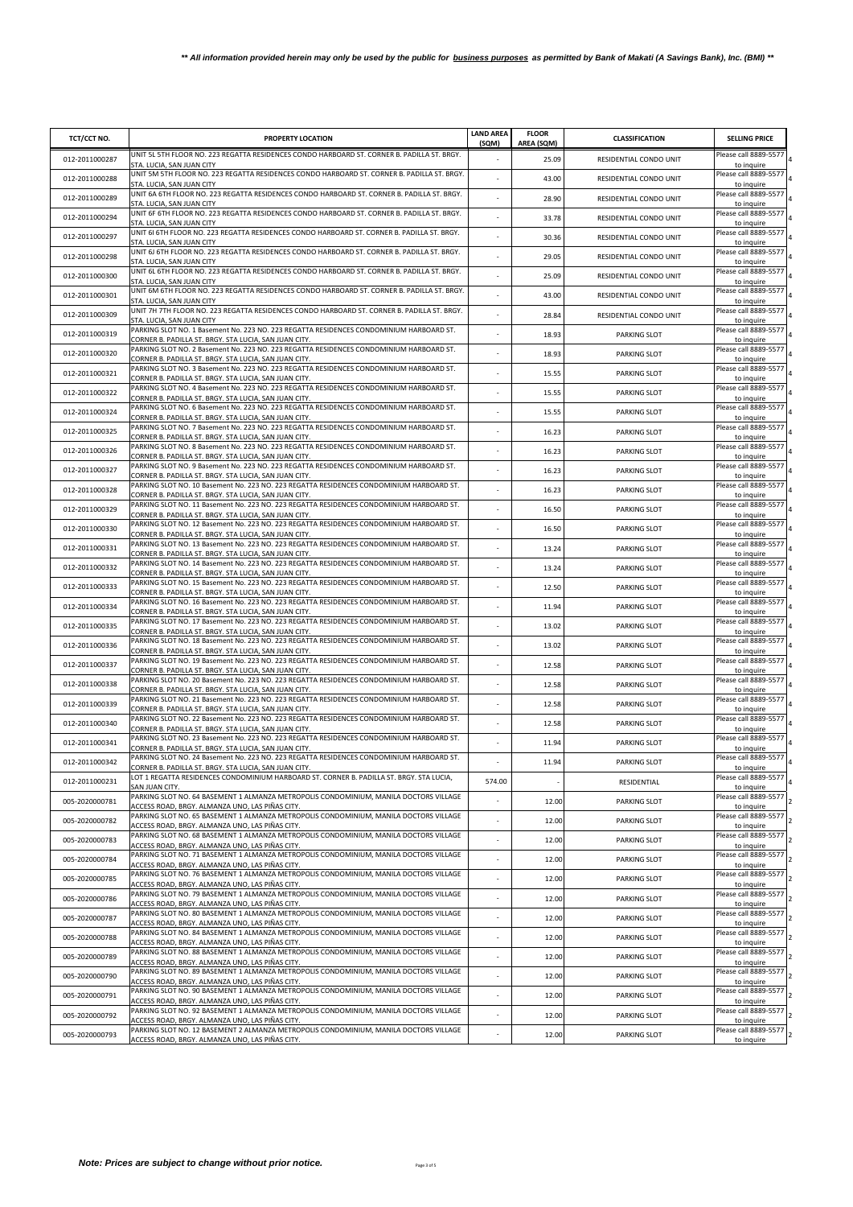| TCT/CCT NO.    | PROPERTY LOCATION                                                                                                                                                                           | <b>LAND AREA</b><br>(SQM) | <b>FLOOR</b><br>AREA (SQM) | <b>CLASSIFICATION</b>  | <b>SELLING PRICE</b>                              |
|----------------|---------------------------------------------------------------------------------------------------------------------------------------------------------------------------------------------|---------------------------|----------------------------|------------------------|---------------------------------------------------|
| 012-2011000287 | UNIT 5L 5TH FLOOR NO. 223 REGATTA RESIDENCES CONDO HARBOARD ST. CORNER B. PADILLA ST. BRGY.<br>STA. LUCIA, SAN JUAN CITY                                                                    |                           | 25.09                      | RESIDENTIAL CONDO UNIT | Please call 8889-5577<br>to inquire               |
| 012-2011000288 | UNIT 5M 5TH FLOOR NO. 223 REGATTA RESIDENCES CONDO HARBOARD ST. CORNER B. PADILLA ST. BRGY.<br>STA. LUCIA, SAN JUAN CITY                                                                    |                           | 43.00                      | RESIDENTIAL CONDO UNIT | Please call 8889-5577<br>to inquire               |
| 012-2011000289 | UNIT 6A 6TH FLOOR NO. 223 REGATTA RESIDENCES CONDO HARBOARD ST. CORNER B. PADILLA ST. BRGY.<br>STA. LUCIA, SAN JUAN CITY                                                                    | ×,                        | 28.90                      | RESIDENTIAL CONDO UNIT | Please call 8889-5577<br>to inquire               |
| 012-2011000294 | UNIT 6F 6TH FLOOR NO. 223 REGATTA RESIDENCES CONDO HARBOARD ST. CORNER B. PADILLA ST. BRGY.<br>STA. LUCIA, SAN JUAN CITY                                                                    |                           | 33.78                      | RESIDENTIAL CONDO UNIT | Please call 8889-5577<br>to inquire               |
| 012-2011000297 | UNIT 6I 6TH FLOOR NO. 223 REGATTA RESIDENCES CONDO HARBOARD ST. CORNER B. PADILLA ST. BRGY.<br>STA. LUCIA, SAN JUAN CITY                                                                    |                           | 30.36                      | RESIDENTIAL CONDO UNIT | Please call 8889-5577<br>to inquire               |
| 012-2011000298 | UNIT 6J 6TH FLOOR NO. 223 REGATTA RESIDENCES CONDO HARBOARD ST. CORNER B. PADILLA ST. BRGY.<br>STA. LUCIA, SAN JUAN CITY                                                                    |                           | 29.05                      | RESIDENTIAL CONDO UNIT | Please call 8889-5577<br>to inquire               |
| 012-2011000300 | UNIT 6L 6TH FLOOR NO. 223 REGATTA RESIDENCES CONDO HARBOARD ST. CORNER B. PADILLA ST. BRGY.<br>STA. LUCIA, SAN JUAN CITY                                                                    |                           | 25.09                      | RESIDENTIAL CONDO UNIT | Please call 8889-5577<br>to inquire               |
| 012-2011000301 | UNIT 6M 6TH FLOOR NO. 223 REGATTA RESIDENCES CONDO HARBOARD ST. CORNER B. PADILLA ST. BRGY.<br>STA. LUCIA, SAN JUAN CITY                                                                    |                           | 43.00                      | RESIDENTIAL CONDO UNIT | Please call 8889-5577<br>to inquire               |
| 012-2011000309 | UNIT 7H 7TH FLOOR NO. 223 REGATTA RESIDENCES CONDO HARBOARD ST. CORNER B. PADILLA ST. BRGY.<br>STA. LUCIA, SAN JUAN CITY                                                                    |                           | 28.84                      | RESIDENTIAL CONDO UNIT | Please call 8889-5577<br>to inquire               |
| 012-2011000319 | PARKING SLOT NO. 1 Basement No. 223 NO. 223 REGATTA RESIDENCES CONDOMINIUM HARBOARD ST.<br>CORNER B. PADILLA ST. BRGY. STA LUCIA, SAN JUAN CITY.                                            |                           | 18.93                      | PARKING SLOT           | Please call 8889-5577<br>to inquire               |
| 012-2011000320 | PARKING SLOT NO. 2 Basement No. 223 NO. 223 REGATTA RESIDENCES CONDOMINIUM HARBOARD ST.                                                                                                     |                           | 18.93                      | PARKING SLOT           | Please call 8889-5577                             |
| 012-2011000321 | CORNER B. PADILLA ST. BRGY. STA LUCIA, SAN JUAN CITY.<br>PARKING SLOT NO. 3 Basement No. 223 NO. 223 REGATTA RESIDENCES CONDOMINIUM HARBOARD ST.                                            |                           | 15.55                      | PARKING SLOT           | to inquire<br>Please call 8889-5577               |
| 012-2011000322 | CORNER B. PADILLA ST. BRGY. STA LUCIA, SAN JUAN CITY.<br>PARKING SLOT NO. 4 Basement No. 223 NO. 223 REGATTA RESIDENCES CONDOMINIUM HARBOARD ST.                                            |                           | 15.55                      | PARKING SLOT           | to inquire<br>Please call 8889-5577               |
| 012-2011000324 | CORNER B. PADILLA ST. BRGY. STA LUCIA, SAN JUAN CITY.<br>PARKING SLOT NO. 6 Basement No. 223 NO. 223 REGATTA RESIDENCES CONDOMINIUM HARBOARD ST.                                            |                           | 15.55                      | PARKING SLOT           | to inquire<br>Please call 8889-5577               |
| 012-2011000325 | CORNER B. PADILLA ST. BRGY. STA LUCIA, SAN JUAN CITY.<br>PARKING SLOT NO. 7 Basement No. 223 NO. 223 REGATTA RESIDENCES CONDOMINIUM HARBOARD ST.                                            |                           | 16.23                      | PARKING SLOT           | to inquire<br>Please call 8889-5577               |
| 012-2011000326 | CORNER B. PADILLA ST. BRGY. STA LUCIA, SAN JUAN CITY.<br>PARKING SLOT NO. 8 Basement No. 223 NO. 223 REGATTA RESIDENCES CONDOMINIUM HARBOARD ST.                                            |                           | 16.23                      | PARKING SLOT           | to inquire<br>Please call 8889-5577               |
| 012-2011000327 | CORNER B. PADILLA ST. BRGY. STA LUCIA, SAN JUAN CITY.<br>PARKING SLOT NO. 9 Basement No. 223 NO. 223 REGATTA RESIDENCES CONDOMINIUM HARBOARD ST.                                            |                           | 16.23                      | <b>PARKING SLOT</b>    | to inquire<br>Please call 8889-5577               |
|                | CORNER B. PADILLA ST. BRGY. STA LUCIA, SAN JUAN CITY.<br>PARKING SLOT NO. 10 Basement No. 223 NO. 223 REGATTA RESIDENCES CONDOMINIUM HARBOARD ST.                                           |                           |                            |                        | to inquire<br>Please call 8889-5577               |
| 012-2011000328 | CORNER B. PADILLA ST. BRGY. STA LUCIA, SAN JUAN CITY.<br>PARKING SLOT NO. 11 Basement No. 223 NO. 223 REGATTA RESIDENCES CONDOMINIUM HARBOARD ST.                                           |                           | 16.23                      | <b>PARKING SLOT</b>    | to inquire<br>Please call 8889-5577               |
| 012-2011000329 | CORNER B. PADILLA ST. BRGY. STA LUCIA, SAN JUAN CITY.<br>PARKING SLOT NO. 12 Basement No. 223 NO. 223 REGATTA RESIDENCES CONDOMINIUM HARBOARD ST.                                           |                           | 16.50                      | PARKING SLOT           | to inquire<br>Please call 8889-5577               |
| 012-2011000330 | CORNER B. PADILLA ST. BRGY. STA LUCIA, SAN JUAN CITY.<br>PARKING SLOT NO. 13 Basement No. 223 NO. 223 REGATTA RESIDENCES CONDOMINIUM HARBOARD ST.                                           |                           | 16.50                      | PARKING SLOT           | to inquire<br>Please call 8889-5577               |
| 012-2011000331 | CORNER B. PADILLA ST. BRGY. STA LUCIA, SAN JUAN CITY.<br>PARKING SLOT NO. 14 Basement No. 223 NO. 223 REGATTA RESIDENCES CONDOMINIUM HARBOARD ST.                                           |                           | 13.24                      | <b>PARKING SLOT</b>    | to inquire<br>Please call 8889-5577               |
| 012-2011000332 | CORNER B. PADILLA ST. BRGY. STA LUCIA, SAN JUAN CITY.<br>PARKING SLOT NO. 15 Basement No. 223 NO. 223 REGATTA RESIDENCES CONDOMINIUM HARBOARD ST.                                           |                           | 13.24                      | <b>PARKING SLOT</b>    | to inquire<br>Please call 8889-5577               |
| 012-2011000333 | CORNER B. PADILLA ST. BRGY. STA LUCIA, SAN JUAN CITY.                                                                                                                                       |                           | 12.50                      | PARKING SLOT           | to inquire                                        |
| 012-2011000334 | PARKING SLOT NO. 16 Basement No. 223 NO. 223 REGATTA RESIDENCES CONDOMINIUM HARBOARD ST.<br>CORNER B. PADILLA ST. BRGY. STA LUCIA, SAN JUAN CITY.                                           |                           | 11.94                      | PARKING SLOT           | Please call 8889-5577<br>to inquire               |
| 012-2011000335 | PARKING SLOT NO. 17 Basement No. 223 NO. 223 REGATTA RESIDENCES CONDOMINIUM HARBOARD ST.<br>CORNER B. PADILLA ST. BRGY. STA LUCIA, SAN JUAN CITY.                                           |                           | 13.02                      | PARKING SLOT           | Please call 8889-5577<br>to inquire               |
| 012-2011000336 | PARKING SLOT NO. 18 Basement No. 223 NO. 223 REGATTA RESIDENCES CONDOMINIUM HARBOARD ST.<br>CORNER B. PADILLA ST. BRGY. STA LUCIA, SAN JUAN CITY.                                           | ×,                        | 13.02                      | PARKING SLOT           | Please call 8889-5577<br>to inquire               |
| 012-2011000337 | PARKING SLOT NO. 19 Basement No. 223 NO. 223 REGATTA RESIDENCES CONDOMINIUM HARBOARD ST.<br>CORNER B. PADILLA ST. BRGY. STA LUCIA, SAN JUAN CITY.                                           |                           | 12.58                      | <b>PARKING SLOT</b>    | Please call 8889-5577<br>to inquire               |
| 012-2011000338 | PARKING SLOT NO. 20 Basement No. 223 NO. 223 REGATTA RESIDENCES CONDOMINIUM HARBOARD ST.<br>CORNER B. PADILLA ST. BRGY. STA LUCIA, SAN JUAN CITY.                                           |                           | 12.58                      | PARKING SLOT           | Please call 8889-5577<br>to inquire               |
| 012-2011000339 | PARKING SLOT NO. 21 Basement No. 223 NO. 223 REGATTA RESIDENCES CONDOMINIUM HARBOARD ST.<br>CORNER B. PADILLA ST. BRGY. STA LUCIA, SAN JUAN CITY.                                           |                           | 12.58                      | PARKING SLOT           | Please call 8889-5577<br>to inquire               |
| 012-2011000340 | PARKING SLOT NO. 22 Basement No. 223 NO. 223 REGATTA RESIDENCES CONDOMINIUM HARBOARD ST.<br>CORNER B. PADILLA ST. BRGY, STA LUCIA, SAN JUAN CITY.                                           |                           | 12.58                      | PARKING SLOT           | Please call 8889-5577<br>to inquire               |
| 012-2011000341 | PARKING SLOT NO. 23 Basement No. 223 NO. 223 REGATTA RESIDENCES CONDOMINIUM HARBOARD ST.<br>CORNER B. PADILLA ST. BRGY. STA LUCIA, SAN JUAN CITY.                                           |                           | 11.94                      | PARKING SLOT           | Please call 8889-5577<br>to inquire               |
| 012-2011000342 | PARKING SLOT NO. 24 Basement No. 223 NO. 223 REGATTA RESIDENCES CONDOMINIUM HARBOARD ST.<br>CORNER B. PADILLA ST. BRGY. STA LUCIA. SAN JUAN CITY.                                           |                           | 11.94                      | PARKING SLOT           | Please call 8889-5577<br>to inquire               |
| 012-2011000231 | LOT 1 REGATTA RESIDENCES CONDOMINIUM HARBOARD ST. CORNER B. PADILLA ST. BRGY. STA LUCIA,<br>SAN JUAN CITY.                                                                                  | 574.00                    |                            | RESIDENTIAL            | Please call 8889-5577<br>to inquire               |
| 005-2020000781 | PARKING SLOT NO. 64 BASEMENT 1 ALMANZA METROPOLIS CONDOMINIUM, MANILA DOCTORS VILLAGE<br>ACCESS ROAD, BRGY. ALMANZA UNO, LAS PIÑAS CITY.                                                    |                           | 12.00                      | PARKING SLOT           | Please call 8889-5577<br>to inquire               |
| 005-2020000782 | PARKING SLOT NO. 65 BASEMENT 1 ALMANZA METROPOLIS CONDOMINIUM, MANILA DOCTORS VILLAGE<br>ACCESS ROAD. BRGY. ALMANZA UNO. LAS PIÑAS CITY.                                                    |                           | 12.00                      | PARKING SLOT           | Please call 8889-5577<br>to inquire               |
| 005-2020000783 | PARKING SLOT NO. 68 BASEMENT 1 ALMANZA METROPOLIS CONDOMINIUM, MANILA DOCTORS VILLAGE<br>ACCESS ROAD, BRGY. ALMANZA UNO, LAS PIÑAS CITY.                                                    |                           | 12.00                      | PARKING SLOT           | Please call 8889-5577<br>to inquire               |
| 005-2020000784 | PARKING SLOT NO. 71 BASEMENT 1 ALMANZA METROPOLIS CONDOMINIUM, MANILA DOCTORS VILLAGE<br>ACCESS ROAD, BRGY. ALMANZA UNO, LAS PIÑAS CITY.                                                    |                           | 12.00                      | PARKING SLOT           | Please call 8889-5577<br>to inquire               |
| 005-2020000785 | PARKING SLOT NO. 76 BASEMENT 1 ALMANZA METROPOLIS CONDOMINIUM, MANILA DOCTORS VILLAGE<br>ACCESS ROAD, BRGY. ALMANZA UNO, LAS PIÑAS CITY.                                                    |                           | 12.00                      | PARKING SLOT           | Please call 8889-5577<br>to inquire               |
| 005-2020000786 | PARKING SLOT NO. 79 BASEMENT 1 ALMANZA METROPOLIS CONDOMINIUM, MANILA DOCTORS VILLAGE                                                                                                       | ÷,                        | 12.00                      | PARKING SLOT           | Please call 8889-5577                             |
| 005-2020000787 | ACCESS ROAD, BRGY. ALMANZA UNO, LAS PIÑAS CITY.<br>PARKING SLOT NO. 80 BASEMENT 1 ALMANZA METROPOLIS CONDOMINIUM, MANILA DOCTORS VILLAGE<br>ACCESS ROAD, BRGY. ALMANZA UNO, LAS PIÑAS CITY. |                           | 12.00                      | <b>PARKING SLOT</b>    | to inquire<br>Please call 8889-5577<br>to inquire |
| 005-2020000788 | PARKING SLOT NO. 84 BASEMENT 1 ALMANZA METROPOLIS CONDOMINIUM, MANILA DOCTORS VILLAGE                                                                                                       |                           | 12.00                      | PARKING SLOT           | Please call 8889-5577                             |
| 005-2020000789 | ACCESS ROAD, BRGY. ALMANZA UNO, LAS PIÑAS CITY.<br>PARKING SLOT NO. 88 BASEMENT 1 ALMANZA METROPOLIS CONDOMINIUM, MANILA DOCTORS VILLAGE                                                    |                           | 12.00                      | PARKING SLOT           | to inquire<br>Please call 8889-5577               |
| 005-2020000790 | ACCESS ROAD, BRGY. ALMANZA UNO, LAS PIÑAS CITY.<br>PARKING SLOT NO. 89 BASEMENT 1 ALMANZA METROPOLIS CONDOMINIUM, MANILA DOCTORS VILLAGE                                                    |                           | 12.00                      | PARKING SLOT           | to inquire<br>Please call 8889-5577               |
| 005-2020000791 | ACCESS ROAD, BRGY. ALMANZA UNO, LAS PIÑAS CITY.<br>PARKING SLOT NO. 90 BASEMENT 1 ALMANZA METROPOLIS CONDOMINIUM, MANILA DOCTORS VILLAGE                                                    |                           | 12.00                      | PARKING SLOT           | to inquire<br>Please call 8889-5577               |
| 005-2020000792 | ACCESS ROAD, BRGY. ALMANZA UNO, LAS PIÑAS CITY.<br>PARKING SLOT NO. 92 BASEMENT 1 ALMANZA METROPOLIS CONDOMINIUM, MANILA DOCTORS VILLAGE                                                    |                           | 12.00                      | <b>PARKING SLOT</b>    | to inquire<br>Please call 8889-5577               |
| 005-2020000793 | ACCESS ROAD, BRGY. ALMANZA UNO, LAS PIÑAS CITY.<br>PARKING SLOT NO. 12 BASEMENT 2 ALMANZA METROPOLIS CONDOMINIUM, MANILA DOCTORS VILLAGE                                                    |                           | 12.00                      | PARKING SLOT           | to inquire<br>Please call 8889-5577               |
|                | ACCESS ROAD, BRGY. ALMANZA UNO, LAS PIÑAS CITY.                                                                                                                                             |                           |                            |                        | to inquire                                        |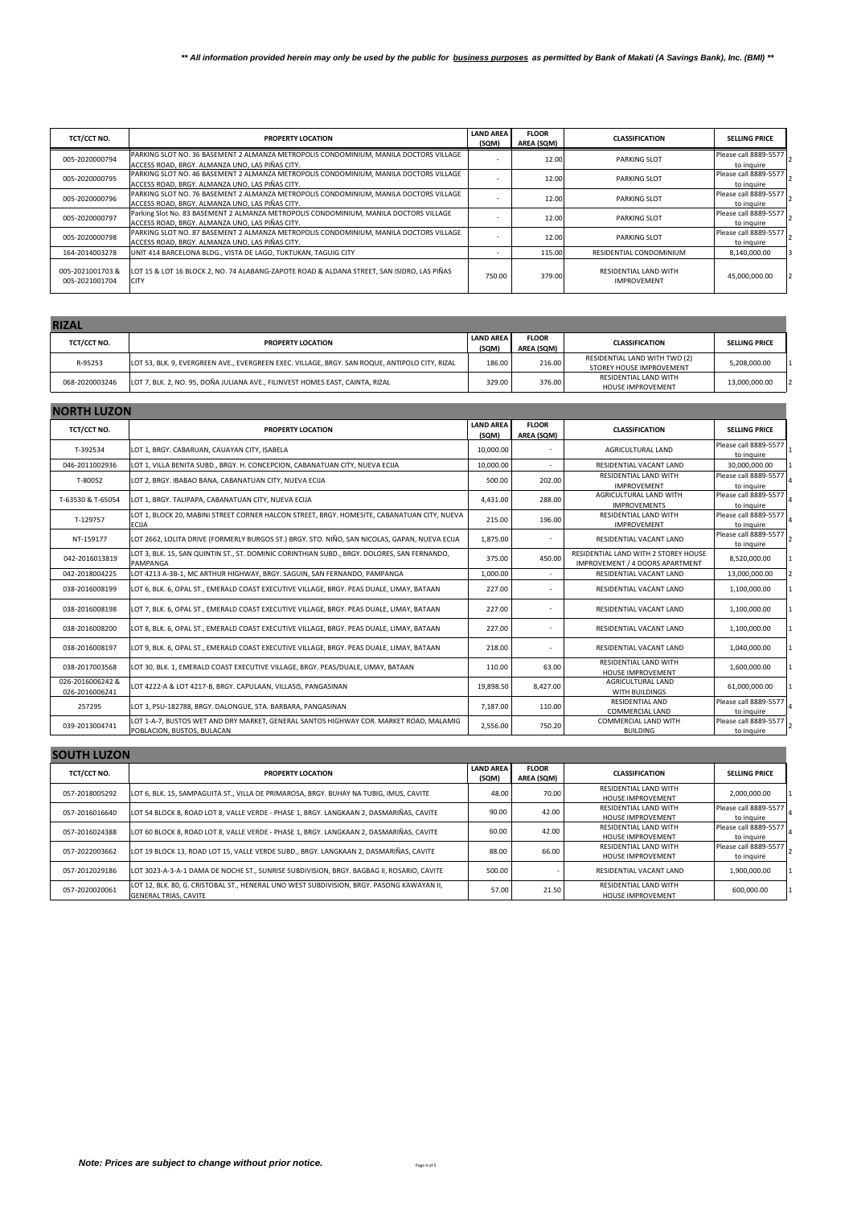| TCT/CCT NO.                       | PROPERTY LOCATION                                                                                         | <b>LAND AREA</b><br>(SQM) | <b>FLOOR</b><br>AREA (SQM) | <b>CLASSIFICATION</b>                       | <b>SELLING PRICE</b>  |
|-----------------------------------|-----------------------------------------------------------------------------------------------------------|---------------------------|----------------------------|---------------------------------------------|-----------------------|
| 005-2020000794                    | PARKING SLOT NO. 36 BASEMENT 2 ALMANZA METROPOLIS CONDOMINIUM, MANILA DOCTORS VILLAGE                     |                           | 12.00                      | <b>PARKING SLOT</b>                         | Please call 8889-5577 |
|                                   | ACCESS ROAD. BRGY. ALMANZA UNO. LAS PIÑAS CITY.                                                           |                           |                            |                                             | to inquire            |
| 005-2020000795                    | PARKING SLOT NO. 46 BASEMENT 2 ALMANZA METROPOLIS CONDOMINIUM, MANILA DOCTORS VILLAGE                     |                           | 12.00                      | <b>PARKING SLOT</b>                         | Please call 8889-5577 |
|                                   | ACCESS ROAD, BRGY, ALMANZA UNO, LAS PIÑAS CITY.                                                           |                           |                            |                                             | to inquire            |
| 005-2020000796                    | PARKING SLOT NO. 76 BASEMENT 2 ALMANZA METROPOLIS CONDOMINIUM. MANILA DOCTORS VILLAGE                     |                           | 12.00                      | <b>PARKING SLOT</b>                         | Please call 8889-5577 |
|                                   | ACCESS ROAD. BRGY. ALMANZA UNO. LAS PIÑAS CITY.                                                           |                           |                            |                                             | to inquire            |
| 005-2020000797                    | Parking Slot No. 83 BASEMENT 2 ALMANZA METROPOLIS CONDOMINIUM, MANILA DOCTORS VILLAGE                     |                           | 12.00                      | <b>PARKING SLOT</b>                         | Please call 8889-5577 |
|                                   | ACCESS ROAD, BRGY. ALMANZA UNO, LAS PIÑAS CITY.                                                           |                           |                            |                                             | to inquire            |
| 005-2020000798                    | PARKING SLOT NO. 87 BASEMENT 2 ALMANZA METROPOLIS CONDOMINIUM, MANILA DOCTORS VILLAGE                     |                           | 12.00                      | <b>PARKING SLOT</b>                         | Please call 8889-5577 |
|                                   | ACCESS ROAD, BRGY, ALMANZA UNO, LAS PIÑAS CITY.                                                           |                           |                            |                                             | to inquire            |
| 164-2014003278                    | UNIT 414 BARCELONA BLDG., VISTA DE LAGO, TUKTUKAN, TAGUIG CITY                                            |                           | 115.00                     | RESIDENTIAL CONDOMINIUM                     | 8,140,000.00          |
| 005-2021001703&<br>005-2021001704 | LOT 15 & LOT 16 BLOCK 2, NO. 74 ALABANG-ZAPOTE ROAD & ALDANA STREET, SAN ISIDRO, LAS PIÑAS<br><b>CITY</b> | 750.00                    | 379.00                     | RESIDENTIAL LAND WITH<br><b>IMPROVEMENT</b> | 45,000,000.00         |

| <b>RIZAL</b>   |                                                                                                |                           |                            |                                                           |                      |
|----------------|------------------------------------------------------------------------------------------------|---------------------------|----------------------------|-----------------------------------------------------------|----------------------|
| TCT/CCT NO.    | <b>PROPERTY LOCATION</b>                                                                       | <b>LAND AREA</b><br>(SQM) | <b>FLOOR</b><br>AREA (SQM) | <b>CLASSIFICATION</b>                                     | <b>SELLING PRICE</b> |
| R-95253        | LOT 53, BLK. 9, EVERGREEN AVE., EVERGREEN EXEC. VILLAGE, BRGY. SAN ROQUE, ANTIPOLO CITY, RIZAL | 186.00                    | 216.00                     | RESIDENTIAL LAND WITH TWO (2)<br>STOREY HOUSE IMPROVEMENT | 5,208,000.00         |
| 068-2020003246 | LOT 7, BLK. 2, NO. 95, DOÑA JULIANA AVE., FILINVEST HOMES EAST, CAINTA, RIZAL                  | 329.00                    | 376.00                     | RESIDENTIAL LAND WITH<br><b>HOUSE IMPROVEMENT</b>         | 13.000.000.00        |

| <b>NORTH LUZON</b>                 |                                                                                                                      |                           |                            |                                                                         |                                     |  |  |
|------------------------------------|----------------------------------------------------------------------------------------------------------------------|---------------------------|----------------------------|-------------------------------------------------------------------------|-------------------------------------|--|--|
| TCT/CCT NO.                        | <b>PROPERTY LOCATION</b>                                                                                             | <b>LAND AREA</b><br>(SQM) | <b>FLOOR</b><br>AREA (SQM) | <b>CLASSIFICATION</b>                                                   | <b>SELLING PRICE</b>                |  |  |
| T-392534                           | LOT 1, BRGY. CABARUAN, CAUAYAN CITY, ISABELA                                                                         | 10,000.00                 |                            | AGRICULTURAL LAND                                                       | Please call 8889-5577<br>to inquire |  |  |
| 046-2011002936                     | LOT 1, VILLA BENITA SUBD., BRGY. H. CONCEPCION, CABANATUAN CITY, NUEVA ECIJA                                         | 10.000.00                 |                            | RESIDENTIAL VACANT LAND                                                 | 30,000,000.00                       |  |  |
| T-80052                            | LOT 2, BRGY. IBABAO BANA, CABANATUAN CITY, NUEVA ECIJA                                                               | 500.00                    | 202.00                     | <b>RESIDENTIAL LAND WITH</b><br><b>IMPROVEMENT</b>                      | Please call 8889-5577<br>to inquire |  |  |
| T-63530 & T-65054                  | LOT 1, BRGY. TALIPAPA, CABANATUAN CITY, NUEVA ECIJA                                                                  | 4,431.00                  | 288.00                     | AGRICULTURAL LAND WITH<br><b>IMPROVEMENTS</b>                           | Please call 8889-5577<br>to inquire |  |  |
| T-129757                           | LOT 1, BLOCK 20, MABINI STREET CORNER HALCON STREET, BRGY. HOMESITE, CABANATUAN CITY, NUEVA<br><b>ECIJA</b>          | 215.00                    | 196.00                     | RESIDENTIAL LAND WITH<br><b>IMPROVEMENT</b>                             | Please call 8889-5577<br>to inquire |  |  |
| NT-159177                          | LOT 2662, LOLITA DRIVE (FORMERLY BURGOS ST.) BRGY. STO. NIÑO, SAN NICOLAS, GAPAN, NUEVA ECIJA                        | 1,875.00                  |                            | RESIDENTIAL VACANT LAND                                                 | Please call 8889-5577<br>to inquire |  |  |
| 042-2016013819                     | LOT 3, BLK. 15, SAN QUINTIN ST., ST. DOMINIC CORINTHIAN SUBD., BRGY. DOLORES, SAN FERNANDO,<br>PAMPANGA              | 375.00                    | 450.00                     | RESIDENTIAL LAND WITH 2 STOREY HOUSE<br>IMPROVEMENT / 4 DOORS APARTMENT | 8.520.000.00                        |  |  |
| 042-2018004225                     | LOT 4213 A-3B-1, MC ARTHUR HIGHWAY, BRGY. SAGUIN, SAN FERNANDO, PAMPANGA                                             | 1.000.00                  |                            | RESIDENTIAL VACANT LAND                                                 | 13,000,000.00                       |  |  |
| 038-2016008199                     | LOT 6, BLK. 6, OPAL ST., EMERALD COAST EXECUTIVE VILLAGE, BRGY. PEAS DUALE, LIMAY, BATAAN                            | 227.00                    | ٠                          | RESIDENTIAL VACANT LAND                                                 | 1,100,000.00                        |  |  |
| 038-2016008198                     | LOT 7, BLK. 6, OPAL ST., EMERALD COAST EXECUTIVE VILLAGE, BRGY. PEAS DUALE, LIMAY, BATAAN                            | 227.00                    |                            | RESIDENTIAL VACANT LAND                                                 | 1,100,000.00                        |  |  |
| 038-2016008200                     | LOT 8, BLK. 6, OPAL ST., EMERALD COAST EXECUTIVE VILLAGE, BRGY. PEAS DUALE, LIMAY, BATAAN                            | 227.00                    | ٠                          | RESIDENTIAL VACANT LAND                                                 | 1,100,000.00                        |  |  |
| 038-2016008197                     | LOT 9, BLK. 6, OPAL ST., EMERALD COAST EXECUTIVE VILLAGE, BRGY. PEAS DUALE, LIMAY, BATAAN                            | 218.00                    |                            | RESIDENTIAL VACANT LAND                                                 | 1,040,000.00                        |  |  |
| 038-2017003568                     | LOT 30, BLK, 1, EMERALD COAST EXECUTIVE VILLAGE, BRGY, PEAS/DUALE, LIMAY, BATAAN                                     | 110.00                    | 63.00                      | RESIDENTIAL LAND WITH<br><b>HOUSE IMPROVEMENT</b>                       | 1,600,000.00                        |  |  |
| 026-2016006242 &<br>026-2016006241 | LOT 4222-A & LOT 4217-B. BRGY. CAPULAAN. VILLASIS. PANGASINAN                                                        | 19,898.50                 | 8,427.00                   | AGRICULTURAL LAND<br>WITH BUILDINGS                                     | 61,000,000.00                       |  |  |
| 257295                             | LOT 3, PSU-182788, BRGY. DALONGUE, STA. BARBARA, PANGASINAN                                                          | 7.187.00                  | 110.00                     | <b>RESIDENTIAL AND</b><br><b>COMMERCIAL LAND</b>                        | Please call 8889-5577<br>to inquire |  |  |
| 039-2013004741                     | LOT 1-A-7, BUSTOS WET AND DRY MARKET, GENERAL SANTOS HIGHWAY COR. MARKET ROAD, MALAMIG<br>POBLACION, BUSTOS, BULACAN | 2,556.00                  | 750.20                     | COMMERCIAL LAND WITH<br><b>BUILDING</b>                                 | Please call 8889-5577<br>to inquire |  |  |

| <b>SUUTH LUZUN</b> |                                                                                                                            |                           |                            |                                                          |                                     |
|--------------------|----------------------------------------------------------------------------------------------------------------------------|---------------------------|----------------------------|----------------------------------------------------------|-------------------------------------|
| TCT/CCT NO.        | PROPERTY LOCATION                                                                                                          | <b>LAND AREA</b><br>(SQM) | <b>FLOOR</b><br>AREA (SQM) | <b>CLASSIFICATION</b>                                    | <b>SELLING PRICE</b>                |
| 057-2018005292     | LOT 6, BLK, 15, SAMPAGUITA ST., VILLA DE PRIMAROSA, BRGY, BUHAY NA TUBIG, IMUS, CAVITE                                     | 48.00                     | 70.00                      | <b>RESIDENTIAL LAND WITH</b><br><b>HOUSE IMPROVEMENT</b> | 2,000,000.00                        |
| 057-2016016640     | LLOT 54 BLOCK 8. ROAD LOT 8. VALLE VERDE - PHASE 1. BRGY. LANGKAAN 2. DASMARIÑAS. CAVITE                                   | 90.00                     | 42.00                      | RESIDENTIAL LAND WITH<br><b>HOUSE IMPROVEMENT</b>        | Please call 8889-5577<br>to inquire |
| 057-2016024388     | LLOT 60 BLOCK 8. ROAD LOT 8. VALLE VERDE - PHASE 1. BRGY. LANGKAAN 2. DASMARIÑAS. CAVITE                                   | 60.00                     | 42.00                      | RESIDENTIAL LAND WITH<br><b>HOUSE IMPROVEMENT</b>        | Please call 8889-5577<br>to inquire |
| 057-2022003662     | LOT 19 BLOCK 13, ROAD LOT 15, VALLE VERDE SUBD., BRGY, LANGKAAN 2, DASMARIÑAS, CAVITE                                      | 88.00                     | 66.00                      | RESIDENTIAL LAND WITH<br><b>HOUSE IMPROVEMENT</b>        | Please call 8889-5577<br>to inquire |
| 057-2012029186     | LOT 3023-A-3-A-1 DAMA DE NOCHE ST., SUNRISE SUBDIVISION, BRGY. BAGBAG II, ROSARIO, CAVITE                                  | 500.00                    |                            | RESIDENTIAL VACANT LAND                                  | 1,900,000.00                        |
| 057-2020020061     | LLOT 12, BLK, 80, G, CRISTOBAL ST., HENERAL UNO WEST SUBDIVISION, BRGY, PASONG KAWAYAN II,<br><b>GENERAL TRIAS, CAVITE</b> | 57.00                     | 21.50                      | <b>RESIDENTIAL LAND WITH</b><br><b>HOUSE IMPROVEMENT</b> | 600,000.00                          |

a sa kacamatan ing Kabupatèn Kabupatèn Kabupatèn Kabupatèn Kabupatèn Kabupatèn Kabupatèn Kabupatèn Kabupatèn K

**SOUTH LUXONS**